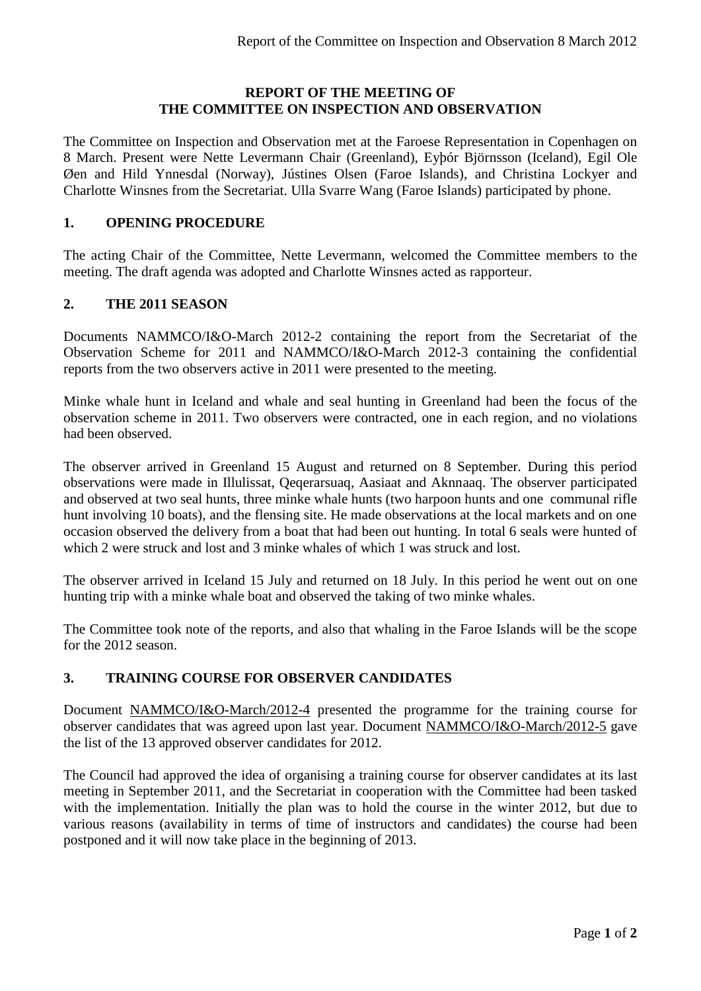#### **REPORT OF THE MEETING OF THE COMMITTEE ON INSPECTION AND OBSERVATION**

The Committee on Inspection and Observation met at the Faroese Representation in Copenhagen on 8 March. Present were Nette Levermann Chair (Greenland), Eyþór Björnsson (Iceland), Egil Ole Øen and Hild Ynnesdal (Norway), Jústines Olsen (Faroe Islands), and Christina Lockyer and Charlotte Winsnes from the Secretariat. Ulla Svarre Wang (Faroe Islands) participated by phone.

## **1. OPENING PROCEDURE**

The acting Chair of the Committee, Nette Levermann, welcomed the Committee members to the meeting. The draft agenda was adopted and Charlotte Winsnes acted as rapporteur.

#### **2. THE 2011 SEASON**

Documents NAMMCO/I&O-March 2012-2 containing the report from the Secretariat of the Observation Scheme for 2011 and NAMMCO/I&O-March 2012-3 containing the confidential reports from the two observers active in 2011 were presented to the meeting.

Minke whale hunt in Iceland and whale and seal hunting in Greenland had been the focus of the observation scheme in 2011. Two observers were contracted, one in each region, and no violations had been observed.

The observer arrived in Greenland 15 August and returned on 8 September. During this period observations were made in Illulissat, Qeqerarsuaq, Aasiaat and Aknnaaq. The observer participated and observed at two seal hunts, three minke whale hunts (two harpoon hunts and one communal rifle hunt involving 10 boats), and the flensing site. He made observations at the local markets and on one occasion observed the delivery from a boat that had been out hunting. In total 6 seals were hunted of which 2 were struck and lost and 3 minke whales of which 1 was struck and lost.

The observer arrived in Iceland 15 July and returned on 18 July. In this period he went out on one hunting trip with a minke whale boat and observed the taking of two minke whales.

The Committee took note of the reports, and also that whaling in the Faroe Islands will be the scope for the 2012 season.

## **3. TRAINING COURSE FOR OBSERVER CANDIDATES**

Document NAMMCO/I&O-March/2012-4 presented the programme for the training course for observer candidates that was agreed upon last year. Document NAMMCO/I&O-March/2012-5 gave the list of the 13 approved observer candidates for 2012.

The Council had approved the idea of organising a training course for observer candidates at its last meeting in September 2011, and the Secretariat in cooperation with the Committee had been tasked with the implementation. Initially the plan was to hold the course in the winter 2012, but due to various reasons (availability in terms of time of instructors and candidates) the course had been postponed and it will now take place in the beginning of 2013.